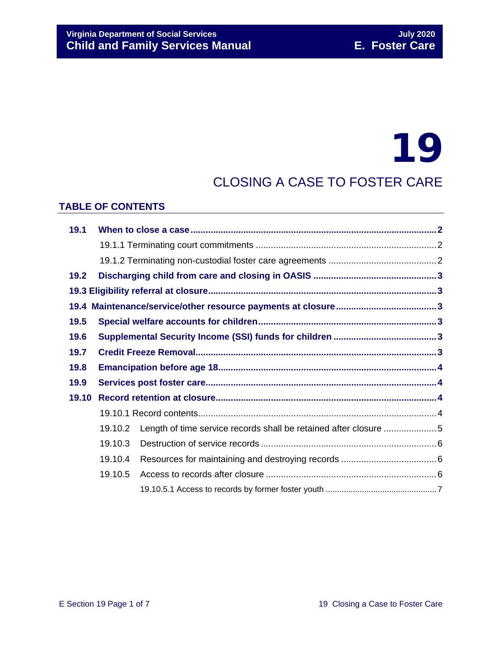# 19

# CLOSING A CASE TO FOSTER CARE

#### **TABLE OF CONTENTS**

| 19.1  |         |                                                                  |  |  |  |
|-------|---------|------------------------------------------------------------------|--|--|--|
|       |         |                                                                  |  |  |  |
|       |         |                                                                  |  |  |  |
| 19.2  |         |                                                                  |  |  |  |
|       |         |                                                                  |  |  |  |
| 19.4  |         |                                                                  |  |  |  |
| 19.5  |         |                                                                  |  |  |  |
| 19.6  |         |                                                                  |  |  |  |
| 19.7  |         |                                                                  |  |  |  |
| 19.8  |         |                                                                  |  |  |  |
| 19.9  |         |                                                                  |  |  |  |
| 19.10 |         |                                                                  |  |  |  |
|       |         |                                                                  |  |  |  |
|       | 19.10.2 | Length of time service records shall be retained after closure 5 |  |  |  |
|       | 19.10.3 |                                                                  |  |  |  |
|       | 19.10.4 |                                                                  |  |  |  |
|       | 19.10.5 |                                                                  |  |  |  |
|       |         |                                                                  |  |  |  |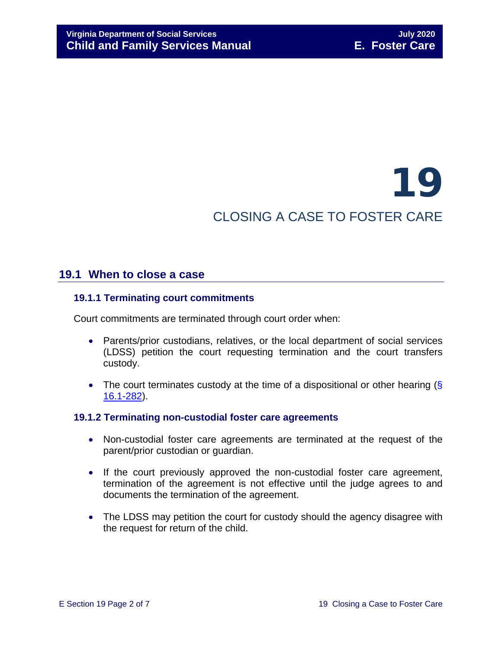# 19 CLOSING A CASE TO FOSTER CARE

# <span id="page-1-0"></span>**19.1 When to close a case**

#### <span id="page-1-1"></span>**19.1.1 Terminating court commitments**

Court commitments are terminated through court order when:

- Parents/prior custodians, relatives, or the local department of social services (LDSS) petition the court requesting termination and the court transfers custody.
- The court terminates custody at the time of a dispositional or other hearing (§ [16.1-282\)](https://law.lis.virginia.gov/vacode/16.1-282/).

#### <span id="page-1-2"></span>**19.1.2 Terminating non-custodial foster care agreements**

- Non-custodial foster care agreements are terminated at the request of the parent/prior custodian or guardian.
- If the court previously approved the non-custodial foster care agreement, termination of the agreement is not effective until the judge agrees to and documents the termination of the agreement.
- The LDSS may petition the court for custody should the agency disagree with the request for return of the child.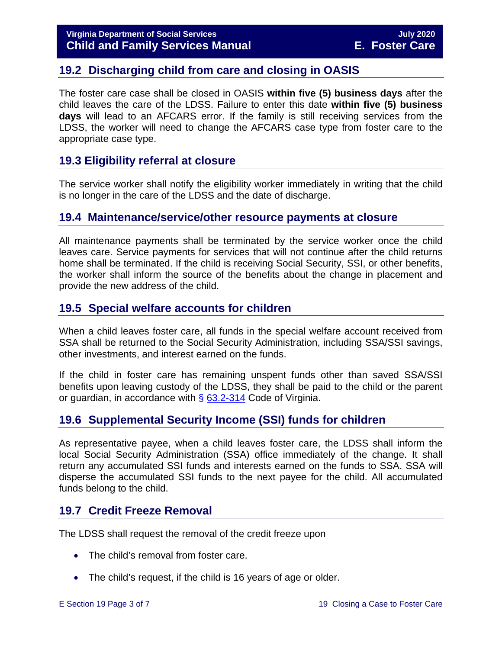# <span id="page-2-0"></span>**19.2 Discharging child from care and closing in OASIS**

The foster care case shall be closed in OASIS **within five (5) business days** after the child leaves the care of the LDSS. Failure to enter this date **within five (5) business days** will lead to an AFCARS error. If the family is still receiving services from the LDSS, the worker will need to change the AFCARS case type from foster care to the appropriate case type.

## <span id="page-2-1"></span>**19.3 Eligibility referral at closure**

The service worker shall notify the eligibility worker immediately in writing that the child is no longer in the care of the LDSS and the date of discharge.

### <span id="page-2-2"></span>**19.4 Maintenance/service/other resource payments at closure**

All maintenance payments shall be terminated by the service worker once the child leaves care. Service payments for services that will not continue after the child returns home shall be terminated. If the child is receiving Social Security, SSI, or other benefits, the worker shall inform the source of the benefits about the change in placement and provide the new address of the child.

# <span id="page-2-3"></span>**19.5 Special welfare accounts for children**

When a child leaves foster care, all funds in the special welfare account received from SSA shall be returned to the Social Security Administration, including SSA/SSI savings, other investments, and interest earned on the funds.

If the child in foster care has remaining unspent funds other than saved SSA/SSI benefits upon leaving custody of the LDSS, they shall be paid to the child or the parent or guardian, in accordance with  $\S$  [63.2-314](https://law.lis.virginia.gov/vacode/63.2-314/) Code of Virginia.

# <span id="page-2-4"></span>**19.6 Supplemental Security Income (SSI) funds for children**

As representative payee, when a child leaves foster care, the LDSS shall inform the local Social Security Administration (SSA) office immediately of the change. It shall return any accumulated SSI funds and interests earned on the funds to SSA. SSA will disperse the accumulated SSI funds to the next payee for the child. All accumulated funds belong to the child.

# <span id="page-2-5"></span>**19.7 Credit Freeze Removal**

The LDSS shall request the removal of the credit freeze upon

- The child's removal from foster care.
- The child's request, if the child is 16 years of age or older.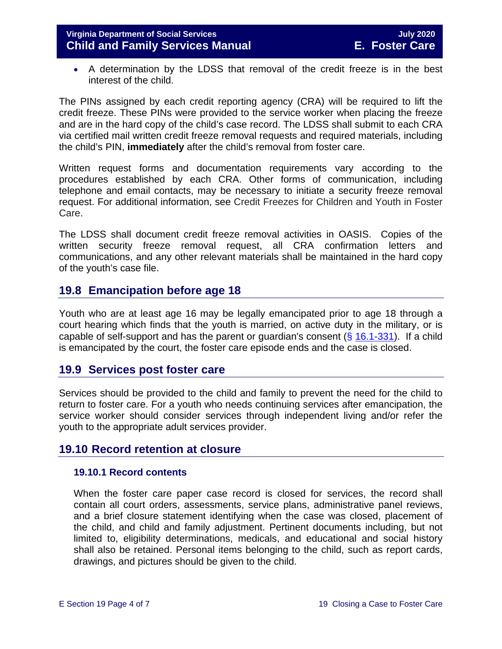• A determination by the LDSS that removal of the credit freeze is in the best interest of the child.

The PINs assigned by each credit reporting agency (CRA) will be required to lift the credit freeze. These PINs were provided to the service worker when placing the freeze and are in the hard copy of the child's case record. The LDSS shall submit to each CRA via certified mail written credit freeze removal requests and required materials, including the child's PIN, **immediately** after the child's removal from foster care.

Written request forms and documentation requirements vary according to the procedures established by each CRA. Other forms of communication, including telephone and email contacts, may be necessary to initiate a security freeze removal request. For additional information, see Credit Freezes for Children and Youth in Foster Care.

The LDSS shall document credit freeze removal activities in OASIS. Copies of the written security freeze removal request, all CRA confirmation letters and communications, and any other relevant materials shall be maintained in the hard copy of the youth's case file.

# <span id="page-3-0"></span>**19.8 Emancipation before age 18**

Youth who are at least age 16 may be legally emancipated prior to age 18 through a court hearing which finds that the youth is married, on active duty in the military, or is capable of self-support and has the parent or guardian's consent  $(\S$  [16.1-331\)](https://law.lis.virginia.gov/vacode/16.1-331/). If a child is emancipated by the court, the foster care episode ends and the case is closed.

### <span id="page-3-1"></span>**19.9 Services post foster care**

Services should be provided to the child and family to prevent the need for the child to return to foster care. For a youth who needs continuing services after emancipation, the service worker should consider services through independent living and/or refer the youth to the appropriate adult services provider.

### **19.10 Record retention at closure**

#### <span id="page-3-3"></span><span id="page-3-2"></span>**19.10.1 Record contents**

When the foster care paper case record is closed for services, the record shall contain all court orders, assessments, service plans, administrative panel reviews, and a brief closure statement identifying when the case was closed, placement of the child, and child and family adjustment. Pertinent documents including, but not limited to, eligibility determinations, medicals, and educational and social history shall also be retained. Personal items belonging to the child, such as report cards, drawings, and pictures should be given to the child.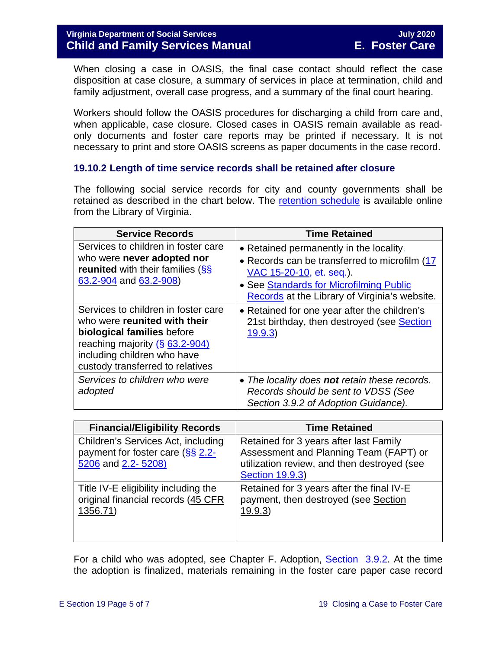When closing a case in OASIS, the final case contact should reflect the case disposition at case closure, a summary of services in place at termination, child and family adjustment, overall case progress, and a summary of the final court hearing.

Workers should follow the OASIS procedures for discharging a child from care and, when applicable, case closure. Closed cases in OASIS remain available as readonly documents and foster care reports may be printed if necessary. It is not necessary to print and store OASIS screens as paper documents in the case record.

#### <span id="page-4-0"></span>**19.10.2 Length of time service records shall be retained after closure**

The following social service records for city and county governments shall be retained as described in the chart below. The [retention schedule](http://www.lva.virginia.gov/agencies/records/sched_local/GS-15.pdf) is available online from the Library of Virginia.

| <b>Service Records</b>                                                                                                                                                                                    | <b>Time Retained</b>                                                                                                                                                                                             |
|-----------------------------------------------------------------------------------------------------------------------------------------------------------------------------------------------------------|------------------------------------------------------------------------------------------------------------------------------------------------------------------------------------------------------------------|
| Services to children in foster care<br>who were never adopted nor<br><b>reunited</b> with their families (SS<br>63.2-904 and 63.2-908)                                                                    | • Retained permanently in the locality.<br>• Records can be transferred to microfilm (17<br>VAC 15-20-10, et. seq.).<br>• See Standards for Microfilming Public<br>Records at the Library of Virginia's website. |
| Services to children in foster care<br>who were reunited with their<br>biological families before<br>reaching majority $(\S$ 63.2-904)<br>including children who have<br>custody transferred to relatives | • Retained for one year after the children's<br>21st birthday, then destroyed (see Section<br>19.9.3)                                                                                                            |
| Services to children who were<br>adopted                                                                                                                                                                  | • The locality does not retain these records.<br>Records should be sent to VDSS (See<br>Section 3.9.2 of Adoption Guidance).                                                                                     |

| <b>Financial/Eligibility Records</b>                                                         | <b>Time Retained</b>                                                                                                                                      |
|----------------------------------------------------------------------------------------------|-----------------------------------------------------------------------------------------------------------------------------------------------------------|
| Children's Services Act, including<br>payment for foster care (SS 2.2-<br>5206 and 2.2-5208) | Retained for 3 years after last Family<br>Assessment and Planning Team (FAPT) or<br>utilization review, and then destroyed (see<br><b>Section 19.9.3)</b> |
| Title IV-E eligibility including the<br>original financial records (45 CFR<br>1356.71        | Retained for 3 years after the final IV-E<br>payment, then destroyed (see Section<br>19.9.3)                                                              |

For a child who was adopted, see Chapter F. Adoption, [Section 3.9.2.](https://fusion.dss.virginia.gov/Portals/%5Bdfs%5D/Files/Adoption/Guidance/2020/section_3_finalizing%20the%20adoption-July%202020.pdf#page=29) At the time the adoption is finalized, materials remaining in the foster care paper case record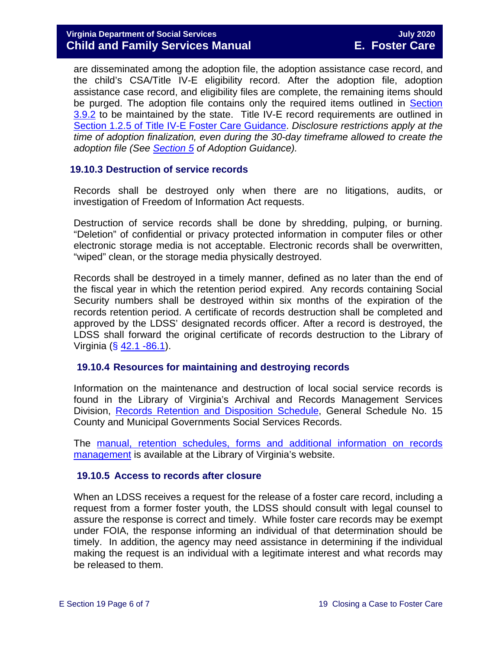are disseminated among the adoption file, the adoption assistance case record, and the child's CSA/Title IV-E eligibility record. After the adoption file, adoption assistance case record, and eligibility files are complete, the remaining items should be purged. The adoption file contains only the required items outlined in Section [3.9.2](https://fusion.dss.virginia.gov/Portals/%5Bdfs%5D/Files/Adoption/Guidance/2020/section_3_finalizing%20the%20adoption-July%202020.pdf#page=29) to be maintained by the state. Title IV-E record requirements are outlined in [Section 1.2.5 of Title IV-E Foster Care Guidance.](https://fusion.dss.virginia.gov/dfs/DFS-Home/Title-IV-E/Title-IV-E-Guidance) *Disclosure restrictions apply at the time of adoption finalization, even during the 30-day timeframe allowed to create the adoption file (See [Section 5](https://fusion.dss.virginia.gov/Portals/%5Bdfs%5D/Files/Adoption/Guidance/2020/section_5_Adoption%20Disclosure-July%202020.pdf) of Adoption Guidance).*

#### <span id="page-5-3"></span><span id="page-5-0"></span>**19.10.3 Destruction of service records**

Records shall be destroyed only when there are no litigations, audits, or investigation of Freedom of Information Act requests.

Destruction of service records shall be done by shredding, pulping, or burning. "Deletion" of confidential or privacy protected information in computer files or other electronic storage media is not acceptable. Electronic records shall be overwritten, "wiped" clean, or the storage media physically destroyed.

Records shall be destroyed in a timely manner, defined as no later than the end of the fiscal year in which the retention period expired. Any records containing Social Security numbers shall be destroyed within six months of the expiration of the records retention period. A certificate of records destruction shall be completed and approved by the LDSS' designated records officer. After a record is destroyed, the LDSS shall forward the original certificate of records destruction to the Library of Virginia (§ [42.1 -86.1\)](https://law.lis.virginia.gov/vacode/42.1-86.1/).

#### <span id="page-5-1"></span>**19.10.4 Resources for maintaining and destroying records**

Information on the maintenance and destruction of local social service records is found in the Library of Virginia's Archival and Records Management Services Division, [Records Retention and Disposition Schedule,](http://www.lva.virginia.gov/agencies/records/sched_local/GS-15.pdf) General Schedule No. 15 County and Municipal Governments Social Services Records.

The [manual, retention schedules, forms and additional information on records](http://www.lva.virginia.gov/agencies/records/)  [management](http://www.lva.virginia.gov/agencies/records/) is available at the Library of Virginia's website.

#### <span id="page-5-2"></span>**19.10.5 Access to records after closure**

When an LDSS receives a request for the release of a foster care record, including a request from a former foster youth, the LDSS should consult with legal counsel to assure the response is correct and timely. While foster care records may be exempt under FOIA, the response informing an individual of that determination should be timely. In addition, the agency may need assistance in determining if the individual making the request is an individual with a legitimate interest and what records may be released to them.